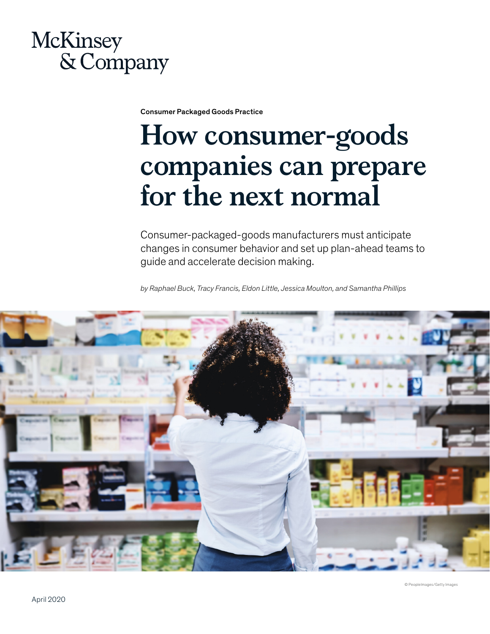# McKinsey & Company

Consumer Packaged Goods Practice

# **How consumer-goods companies can prepare for the next normal**

Consumer-packaged-goods manufacturers must anticipate changes in consumer behavior and set up plan-ahead teams to guide and accelerate decision making.

*by Raphael Buck, Tracy Francis, Eldon Little, Jessica Moulton, and Samantha Phillips* 

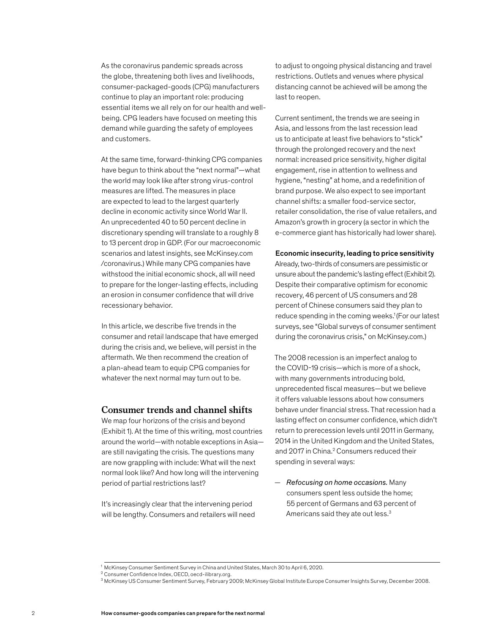As the coronavirus pandemic spreads across the globe, threatening both lives and livelihoods, consumer-packaged-goods (CPG) manufacturers continue to play an important role: producing essential items we all rely on for our health and wellbeing. CPG leaders have focused on meeting this demand while guarding the safety of employees and customers.

At the same time, forward-thinking CPG companies have begun to think about the "next normal"—what the world may look like after strong virus-control measures are lifted. The measures in place are expected to lead to the largest quarterly decline in economic activity since World War II. An unprecedented 40 to 50 percent decline in discretionary spending will translate to a roughly 8 to 13 percent drop in GDP. (For our macroeconomic scenarios and latest insights, see McKinsey.com /coronavirus.) While many CPG companies have withstood the initial economic shock, all will need to prepare for the longer-lasting effects, including an erosion in consumer confidence that will drive recessionary behavior.

In this article, we describe five trends in the consumer and retail landscape that have emerged during the crisis and, we believe, will persist in the aftermath. We then recommend the creation of a plan-ahead team to equip CPG companies for whatever the next normal may turn out to be.

# **Consumer trends and channel shifts**

We map four horizons of the crisis and beyond (Exhibit 1). At the time of this writing, most countries around the world—with notable exceptions in Asia are still navigating the crisis. The questions many are now grappling with include: What will the next normal look like? And how long will the intervening period of partial restrictions last?

It's increasingly clear that the intervening period will be lengthy. Consumers and retailers will need to adjust to ongoing physical distancing and travel restrictions. Outlets and venues where physical distancing cannot be achieved will be among the last to reopen.

Current sentiment, the trends we are seeing in Asia, and lessons from the last recession lead us to anticipate at least five behaviors to "stick" through the prolonged recovery and the next normal: increased price sensitivity, higher digital engagement, rise in attention to wellness and hygiene, "nesting" at home, and a redefinition of brand purpose. We also expect to see important channel shifts: a smaller food-service sector, retailer consolidation, the rise of value retailers, and Amazon's growth in grocery (a sector in which the e-commerce giant has historically had lower share).

#### Economic insecurity, leading to price sensitivity

Already, two-thirds of consumers are pessimistic or unsure about the pandemic's lasting effect (Exhibit 2). Despite their comparative optimism for economic recovery, 46 percent of US consumers and 28 percent of Chinese consumers said they plan to reduce spending in the coming weeks.<sup>1</sup> (For our latest surveys, see "Global surveys of consumer sentiment during the coronavirus crisis," on McKinsey.com.)

The 2008 recession is an imperfect analog to the COVID-19 crisis—which is more of a shock, with many governments introducing bold, unprecedented fiscal measures—but we believe it offers valuable lessons about how consumers behave under financial stress. That recession had a lasting effect on consumer confidence, which didn't return to prerecession levels until 2011 in Germany, 2014 in the United Kingdom and the United States, and 2017 in China.<sup>2</sup> Consumers reduced their spending in several ways:

— *Refocusing on home occasions.* Many consumers spent less outside the home; 55 percent of Germans and 63 percent of Americans said they ate out less.3

<sup>&</sup>lt;sup>1</sup> McKinsey Consumer Sentiment Survey in China and United States, March 30 to April 6, 2020.

<sup>2</sup> Consumer Confidence Index, OECD, oecd-ilibrary.org.

<sup>3</sup> McKinsey US Consumer Sentiment Survey, February 2009; McKinsey Global Institute Europe Consumer Insights Survey, December 2008.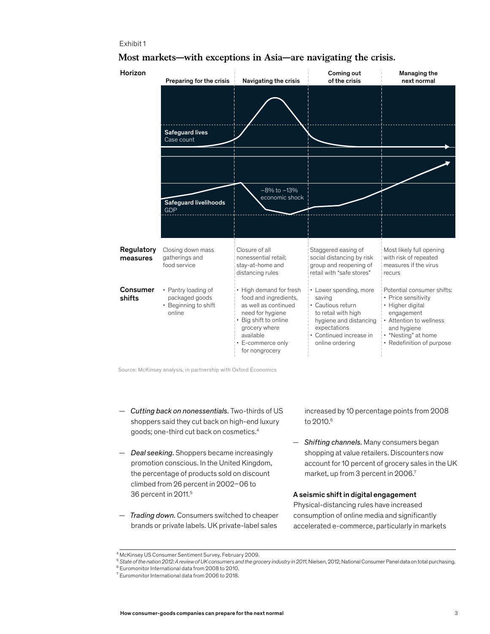# Exhibit 1

| Horizon                | Preparing for the crisis                                                | Navigating the crisis                                                                                                                                                                      | Coming out<br>of the crisis                                                                                                                                          | Managing the<br>next normal                                                                                                                                                       |
|------------------------|-------------------------------------------------------------------------|--------------------------------------------------------------------------------------------------------------------------------------------------------------------------------------------|----------------------------------------------------------------------------------------------------------------------------------------------------------------------|-----------------------------------------------------------------------------------------------------------------------------------------------------------------------------------|
|                        |                                                                         |                                                                                                                                                                                            |                                                                                                                                                                      |                                                                                                                                                                                   |
|                        | <b>Safeguard lives</b><br>Case count                                    |                                                                                                                                                                                            |                                                                                                                                                                      |                                                                                                                                                                                   |
|                        |                                                                         |                                                                                                                                                                                            |                                                                                                                                                                      |                                                                                                                                                                                   |
|                        | <b>Safeguard livelihoods</b><br><b>GDP</b>                              | $-8\%$ to $-13\%$<br>economic shock                                                                                                                                                        |                                                                                                                                                                      |                                                                                                                                                                                   |
|                        |                                                                         |                                                                                                                                                                                            |                                                                                                                                                                      |                                                                                                                                                                                   |
| Regulatory<br>measures | Closing down mass<br>gatherings and<br>food service                     | Closure of all<br>nonessential retail;<br>stay-at-home and<br>distancing rules                                                                                                             | Staggered easing of<br>social distancing by risk<br>group and reopening of<br>retail with "safe stores"                                                              | Most likely full opening<br>with risk of repeated<br>measures if the virus<br>recurs                                                                                              |
| Consumer<br>shifts     | • Pantry loading of<br>packaged goods<br>• Beginning to shift<br>online | • High demand for fresh<br>food and ingredients,<br>as well as continued<br>need for hygiene<br>• Big shift to online<br>grocery where<br>available<br>• E-commerce only<br>for nongrocery | • Lower spending, more<br>saving<br>• Cautious return<br>to retail with high<br>hygiene and distancing<br>expectations<br>• Continued increase in<br>online ordering | Potential consumer shifts:<br>• Price sensitivity<br>• Higher digital<br>engagement<br>• Attention to wellness<br>and hygiene<br>• "Nesting" at home<br>• Redefinition of purpose |

# **Most markets—with exceptions in Asia—are navigating the crisis.**

Source: McKinsey analysis, in partnership with Oxford Economics

- *Cutting back on nonessentials.* Two-thirds of US shoppers said they cut back on high-end luxury goods; one-third cut back on cosmetics.4
- *Deal seeking.* Shoppers became increasingly promotion conscious. In the United Kingdom, the percentage of products sold on discount climbed from 26 percent in 2002–06 to 36 percent in 2011.5
- *Trading down.* Consumers switched to cheaper brands or private labels. UK private-label sales

increased by 10 percentage points from 2008 to 2010.<sup>6</sup>

— *Shifting channels.* Many consumers began shopping at value retailers. Discounters now account for 10 percent of grocery sales in the UK market, up from 3 percent in 2006.7

#### A seismic shift in digital engagement

Physical-distancing rules have increased consumption of online media and significantly accelerated e-commerce, particularly in markets

<sup>4</sup> McKinsey US Consumer Sentiment Survey, February 2009.

<sup>5</sup> *State of the nation 2012: A review of UK consumers and the grocery industry in 2011*, Nielsen, 2012; National Consumer Panel data on total purchasing.

<sup>6</sup> Euromonitor International data from 2008 to 2010.

<sup>7</sup> Euromonitor International data from 2006 to 2018.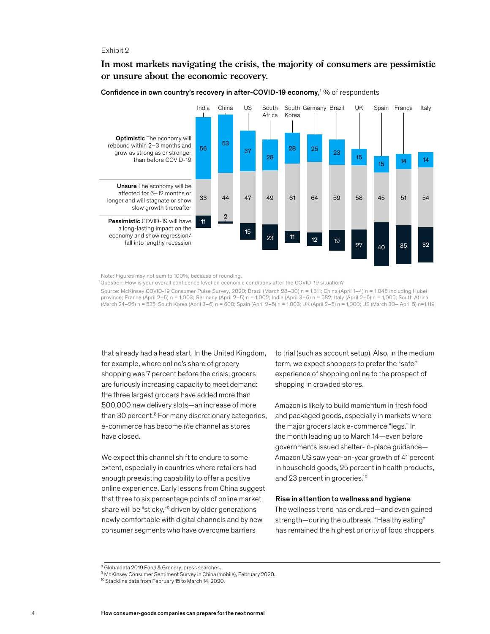#### Exhibit 2

# **In most markets navigating the crisis, the majority of consumers are pessimistic or unsure about the economic recovery.**



Confidence in own country's recovery in after-COVID-19 economy,<sup>1</sup>% of respondents

Note: Figures may not sum to 100%, because of rounding.

<sup>1</sup> Question: How is your overall confidence level on economic conditions after the COVID-19 situation?

Source: McKinsey COVID-19 Consumer Pulse Survey, 2020; Brazil (March 28–30) n = 1,311; China (April 1–4) n = 1,048 including Hubei province; France (April 2–5) n = 1,003; Germany (April 2–5) n = 1,002; India (April 3–6) n = 582; Italy (April 2–5) n = 1,005; South Africa (March 24–26) n = 535; South Korea (April 3–6) n = 600; Spain (April 2–5) n = 1,003; UK (April 2–5) n = 1,000; US (March 30– April 5) n=1,119

that already had a head start. In the United Kingdom, for example, where online's share of grocery shopping was 7 percent before the crisis, grocers are furiously increasing capacity to meet demand: the three largest grocers have added more than 500,000 new delivery slots—an increase of more than 30 percent.8 For many discretionary categories, e-commerce has become *the* channel as stores have closed.

We expect this channel shift to endure to some extent, especially in countries where retailers had enough preexisting capability to offer a positive online experience. Early lessons from China suggest that three to six percentage points of online market share will be "sticky,"<sup>9</sup> driven by older generations newly comfortable with digital channels and by new consumer segments who have overcome barriers

to trial (such as account setup). Also, in the medium term, we expect shoppers to prefer the "safe" experience of shopping online to the prospect of shopping in crowded stores.

Amazon is likely to build momentum in fresh food and packaged goods, especially in markets where the major grocers lack e-commerce "legs." In the month leading up to March 14—even before governments issued shelter-in-place guidance— Amazon US saw year-on-year growth of 41 percent in household goods, 25 percent in health products, and 23 percent in groceries.<sup>10</sup>

#### Rise in attention to wellness and hygiene

The wellness trend has endured—and even gained strength—during the outbreak. "Healthy eating" has remained the highest priority of food shoppers

<sup>8</sup> Globaldata 2019 Food & Grocery; press searches.

<sup>&</sup>lt;sup>9</sup> McKinsey Consumer Sentiment Survey in China (mobile), February 2020.

<sup>10</sup> Stackline data from February 15 to March 14, 2020.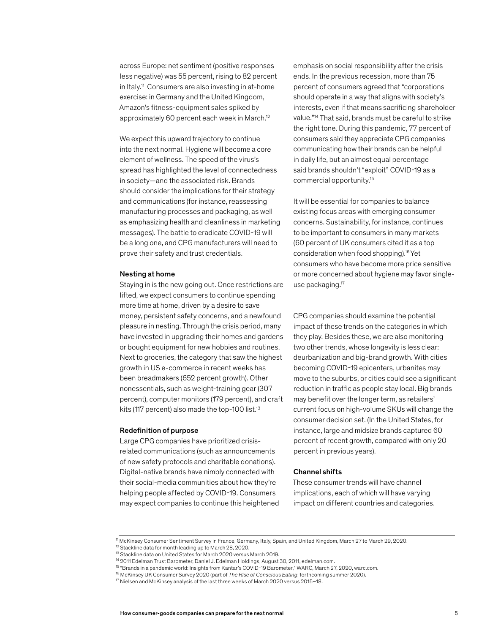across Europe: net sentiment (positive responses less negative) was 55 percent, rising to 82 percent in Italy.11 Consumers are also investing in at-home exercise: in Germany and the United Kingdom, Amazon's fitness-equipment sales spiked by approximately 60 percent each week in March.12

We expect this upward trajectory to continue into the next normal. Hygiene will become a core element of wellness. The speed of the virus's spread has highlighted the level of connectedness in society—and the associated risk. Brands should consider the implications for their strategy and communications (for instance, reassessing manufacturing processes and packaging, as well as emphasizing health and cleanliness in marketing messages). The battle to eradicate COVID-19 will be a long one, and CPG manufacturers will need to prove their safety and trust credentials.

#### Nesting at home

Staying in is the new going out. Once restrictions are lifted, we expect consumers to continue spending more time at home, driven by a desire to save money, persistent safety concerns, and a newfound pleasure in nesting. Through the crisis period, many have invested in upgrading their homes and gardens or bought equipment for new hobbies and routines. Next to groceries, the category that saw the highest growth in US e-commerce in recent weeks has been breadmakers (652 percent growth). Other nonessentials, such as weight-training gear (307 percent), computer monitors (179 percent), and craft kits (117 percent) also made the top-100 list.<sup>13</sup>

#### Redefinition of purpose

Large CPG companies have prioritized crisisrelated communications (such as announcements of new safety protocols and charitable donations). Digital-native brands have nimbly connected with their social-media communities about how they're helping people affected by COVID-19. Consumers may expect companies to continue this heightened emphasis on social responsibility after the crisis ends. In the previous recession, more than 75 percent of consumers agreed that "corporations should operate in a way that aligns with society's interests, even if that means sacrificing shareholder value."14 That said, brands must be careful to strike the right tone. During this pandemic, 77 percent of consumers said they appreciate CPG companies communicating how their brands can be helpful in daily life, but an almost equal percentage said brands shouldn't "exploit" COVID-19 as a commercial opportunity.15

It will be essential for companies to balance existing focus areas with emerging consumer concerns. Sustainability, for instance, continues to be important to consumers in many markets (60 percent of UK consumers cited it as a top consideration when food shopping).16 Yet consumers who have become more price sensitive or more concerned about hygiene may favor singleuse packaging.17

CPG companies should examine the potential impact of these trends on the categories in which they play. Besides these, we are also monitoring two other trends, whose longevity is less clear: deurbanization and big-brand growth. With cities becoming COVID-19 epicenters, urbanites may move to the suburbs, or cities could see a significant reduction in traffic as people stay local. Big brands may benefit over the longer term, as retailers' current focus on high-volume SKUs will change the consumer decision set. (In the United States, for instance, large and midsize brands captured 60 percent of recent growth, compared with only 20 percent in previous years).

#### Channel shifts

These consumer trends will have channel implications, each of which will have varying impact on different countries and categories.

<sup>11</sup> McKinsey Consumer Sentiment Survey in France, Germany, Italy, Spain, and United Kingdom, March 27 to March 29, 2020.

<sup>&</sup>lt;sup>12</sup> Stackline data for month leading up to March 28, 2020.

<sup>&</sup>lt;sup>13</sup> Stackline data on United States for March 2020 versus March 2019.

<sup>&</sup>lt;sup>14</sup> 2011 Edelman Trust Barometer, Daniel J. Edelman Holdings, August 30, 2011, edelman.com.

<sup>15 &</sup>quot;Brands in a pandemic world: Insights from Kantar's COVID-19 Barometer," WARC, March 27, 2020, warc.com.

<sup>16</sup> McKinsey UK Consumer Survey 2020 (part of *The Rise of Conscious Eating*, forthcoming summer 2020).

<sup>17</sup> Nielsen and McKinsey analysis of the last three weeks of March 2020 versus 2015–18.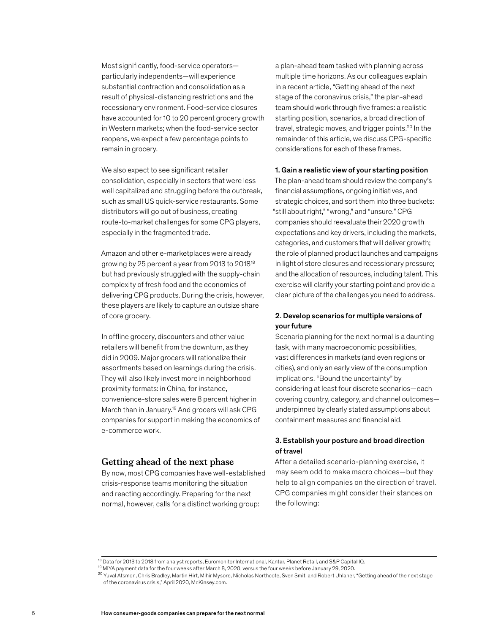Most significantly, food-service operators particularly independents—will experience substantial contraction and consolidation as a result of physical-distancing restrictions and the recessionary environment. Food-service closures have accounted for 10 to 20 percent grocery growth in Western markets; when the food-service sector reopens, we expect a few percentage points to remain in grocery.

We also expect to see significant retailer consolidation, especially in sectors that were less well capitalized and struggling before the outbreak, such as small US quick-service restaurants. Some distributors will go out of business, creating route-to-market challenges for some CPG players, especially in the fragmented trade.

Amazon and other e-marketplaces were already growing by 25 percent a year from 2013 to 201818 but had previously struggled with the supply-chain complexity of fresh food and the economics of delivering CPG products. During the crisis, however, these players are likely to capture an outsize share of core grocery.

In offline grocery, discounters and other value retailers will benefit from the downturn, as they did in 2009. Major grocers will rationalize their assortments based on learnings during the crisis. They will also likely invest more in neighborhood proximity formats: in China, for instance, convenience-store sales were 8 percent higher in March than in January.19 And grocers will ask CPG companies for support in making the economics of e-commerce work.

# **Getting ahead of the next phase**

By now, most CPG companies have well-established crisis-response teams monitoring the situation and reacting accordingly. Preparing for the next normal, however, calls for a distinct working group:

a plan-ahead team tasked with planning across multiple time horizons. As our colleagues explain in a recent article, "Getting ahead of the next stage of the coronavirus crisis," the plan-ahead team should work through five frames: a realistic starting position, scenarios, a broad direction of travel, strategic moves, and trigger points.20 In the remainder of this article, we discuss CPG-specific considerations for each of these frames.

#### 1. Gain a realistic view of your starting position

The plan-ahead team should review the company's financial assumptions, ongoing initiatives, and strategic choices, and sort them into three buckets: "still about right," "wrong," and "unsure." CPG companies should reevaluate their 2020 growth expectations and key drivers, including the markets, categories, and customers that will deliver growth; the role of planned product launches and campaigns in light of store closures and recessionary pressure; and the allocation of resources, including talent. This exercise will clarify your starting point and provide a clear picture of the challenges you need to address.

# 2. Develop scenarios for multiple versions of your future

Scenario planning for the next normal is a daunting task, with many macroeconomic possibilities, vast differences in markets (and even regions or cities), and only an early view of the consumption implications. "Bound the uncertainty" by considering at least four discrete scenarios—each covering country, category, and channel outcomes underpinned by clearly stated assumptions about containment measures and financial aid.

# 3. Establish your posture and broad direction of travel

After a detailed scenario-planning exercise, it may seem odd to make macro choices—but they help to align companies on the direction of travel. CPG companies might consider their stances on the following:

<sup>&</sup>lt;sup>18</sup> Data for 2013 to 2018 from analyst reports, Euromonitor International, Kantar, Planet Retail, and S&P Capital IQ.

<sup>19</sup> MIYA payment data for the four weeks after March 8, 2020, versus the four weeks before January 29, 2020.

 $^{20}$  Yuval Atsmon, Chris Bradley, Martin Hirt, Mihir Mysore, Nicholas Northcote, Sven Smit, and Robert Uhlaner, "Getting ahead of the next stage of the coronavirus crisis," April 2020, McKinsey.com.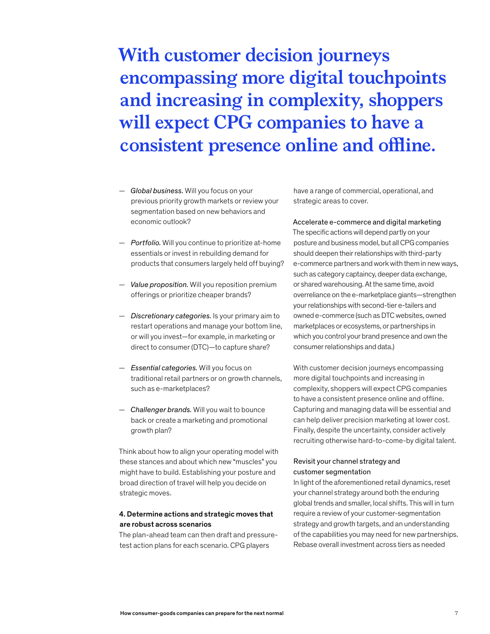# **With customer decision journeys encompassing more digital touchpoints and increasing in complexity, shoppers will expect CPG companies to have a consistent presence online and offline.**

- *Global business.* Will you focus on your previous priority growth markets or review your segmentation based on new behaviors and economic outlook?
- *Portfolio.* Will you continue to prioritize at-home essentials or invest in rebuilding demand for products that consumers largely held off buying?
- *Value proposition.* Will you reposition premium offerings or prioritize cheaper brands?
- *Discretionary categories.* Is your primary aim to restart operations and manage your bottom line, or will you invest—for example, in marketing or direct to consumer (DTC)—to capture share?
- *Essential categories.* Will you focus on traditional retail partners or on growth channels, such as e-marketplaces?
- *Challenger brands.* Will you wait to bounce back or create a marketing and promotional growth plan?

Think about how to align your operating model with these stances and about which new "muscles" you might have to build. Establishing your posture and broad direction of travel will help you decide on strategic moves.

# 4. Determine actions and strategic moves that are robust across scenarios

The plan-ahead team can then draft and pressuretest action plans for each scenario. CPG players

have a range of commercial, operational, and strategic areas to cover.

Accelerate e-commerce and digital marketing The specific actions will depend partly on your posture and business model, but all CPG companies should deepen their relationships with third-party e-commerce partners and work with them in new ways, such as category captaincy, deeper data exchange, or shared warehousing. At the same time, avoid overreliance on the e-marketplace giants—strengthen your relationships with second-tier e-tailers and owned e-commerce (such as DTC websites, owned marketplaces or ecosystems, or partnerships in which you control your brand presence and own the consumer relationships and data.)

With customer decision journeys encompassing more digital touchpoints and increasing in complexity, shoppers will expect CPG companies to have a consistent presence online and offline. Capturing and managing data will be essential and can help deliver precision marketing at lower cost. Finally, despite the uncertainty, consider actively recruiting otherwise hard-to-come-by digital talent.

# Revisit your channel strategy and customer segmentation

In light of the aforementioned retail dynamics, reset your channel strategy around both the enduring global trends and smaller, local shifts. This will in turn require a review of your customer-segmentation strategy and growth targets, and an understanding of the capabilities you may need for new partnerships. Rebase overall investment across tiers as needed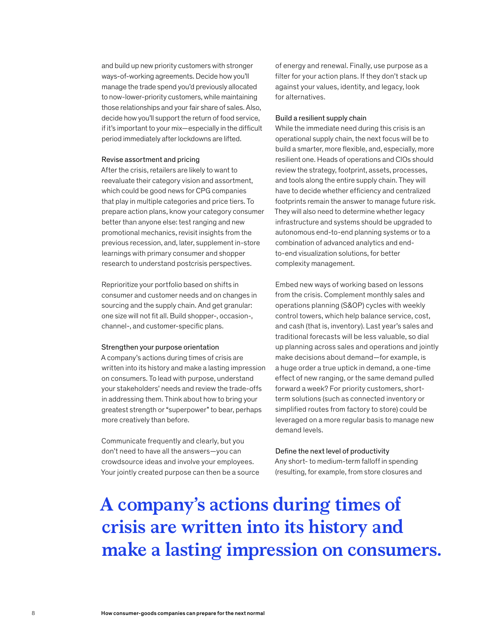and build up new priority customers with stronger ways-of-working agreements. Decide how you'll manage the trade spend you'd previously allocated to now-lower-priority customers, while maintaining those relationships and your fair share of sales. Also, decide how you'll support the return of food service, if it's important to your mix—especially in the difficult period immediately after lockdowns are lifted.

#### Revise assortment and pricing

After the crisis, retailers are likely to want to reevaluate their category vision and assortment, which could be good news for CPG companies that play in multiple categories and price tiers. To prepare action plans, know your category consumer better than anyone else: test ranging and new promotional mechanics, revisit insights from the previous recession, and, later, supplement in-store learnings with primary consumer and shopper research to understand postcrisis perspectives.

Reprioritize your portfolio based on shifts in consumer and customer needs and on changes in sourcing and the supply chain. And get granular: one size will not fit all. Build shopper-, occasion-, channel-, and customer-specific plans.

#### Strengthen your purpose orientation

A company's actions during times of crisis are written into its history and make a lasting impression on consumers. To lead with purpose, understand your stakeholders' needs and review the trade-offs in addressing them. Think about how to bring your greatest strength or "superpower" to bear, perhaps more creatively than before.

Communicate frequently and clearly, but you don't need to have all the answers—you can crowdsource ideas and involve your employees. Your jointly created purpose can then be a source of energy and renewal. Finally, use purpose as a filter for your action plans. If they don't stack up against your values, identity, and legacy, look for alternatives.

#### Build a resilient supply chain

While the immediate need during this crisis is an operational supply chain, the next focus will be to build a smarter, more flexible, and, especially, more resilient one. Heads of operations and CIOs should review the strategy, footprint, assets, processes, and tools along the entire supply chain. They will have to decide whether efficiency and centralized footprints remain the answer to manage future risk. They will also need to determine whether legacy infrastructure and systems should be upgraded to autonomous end-to-end planning systems or to a combination of advanced analytics and endto-end visualization solutions, for better complexity management.

Embed new ways of working based on lessons from the crisis. Complement monthly sales and operations planning (S&OP) cycles with weekly control towers, which help balance service, cost, and cash (that is, inventory). Last year's sales and traditional forecasts will be less valuable, so dial up planning across sales and operations and jointly make decisions about demand—for example, is a huge order a true uptick in demand, a one-time effect of new ranging, or the same demand pulled forward a week? For priority customers, shortterm solutions (such as connected inventory or simplified routes from factory to store) could be leveraged on a more regular basis to manage new demand levels.

### Define the next level of productivity

Any short- to medium-term falloff in spending (resulting, for example, from store closures and

# **A company's actions during times of crisis are written into its history and make a lasting impression on consumers.**